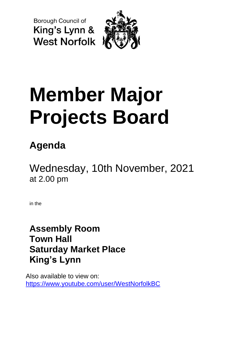**Borough Council of** King's Lynn & **West Norfolk** 



# **Member Major Projects Board**

# **Agenda**

Wednesday, 10th November, 2021 at 2.00 pm

in the

**Assembly Room Town Hall Saturday Market Place King's Lynn**

Also available to view on: <https://www.youtube.com/user/WestNorfolkBC>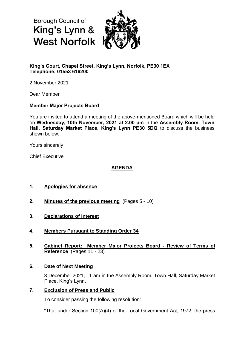**Borough Council of** King's Lynn & **West Norfolk** 



# **King's Court, Chapel Street, King's Lynn, Norfolk, PE30 1EX Telephone: 01553 616200**

2 November 2021

Dear Member

#### **Member Major Projects Board**

You are invited to attend a meeting of the above-mentioned Board which will be held on **Wednesday, 10th November, 2021 at 2.00 pm** in the **Assembly Room, Town Hall, Saturday Market Place, King's Lynn PE30 5DQ** to discuss the business shown below.

Yours sincerely

Chief Executive

# **AGENDA**

# **1. Apologies for absence**

- **2. Minutes of the previous meeting** (Pages 5 10)
- **3. Declarations of Interest**
- **4. Members Pursuant to Standing Order 34**
- **5. Cabinet Report: Member Major Projects Board - Review of Terms of Reference** (Pages 11 - 23)

#### **6. Date of Next Meeting**

3 December 2021, 11 am in the Assembly Room, Town Hall, Saturday Market Place, King's Lynn.

#### **7. Exclusion of Press and Public**

To consider passing the following resolution:

"That under Section 100(A)(4) of the Local Government Act, 1972, the press